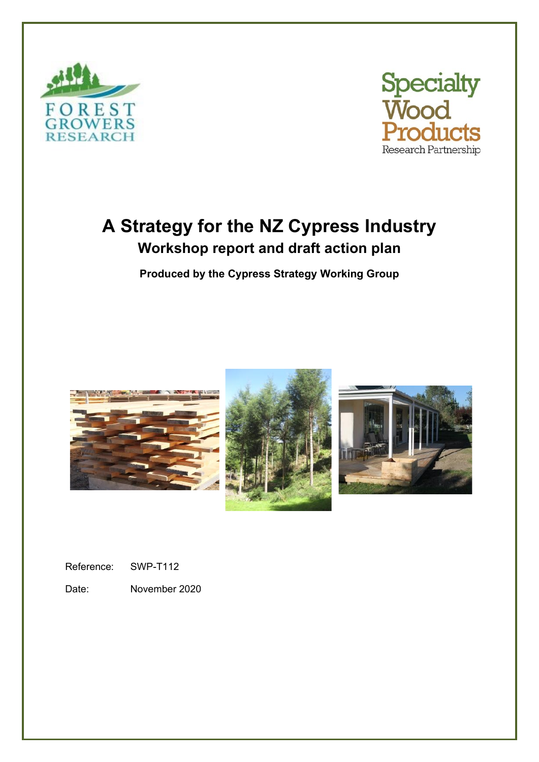



# **A Strategy for the NZ Cypress Industry Workshop report and draft action plan**

**Produced by the Cypress Strategy Working Group**







Reference: SWP-T112

Date: November 2020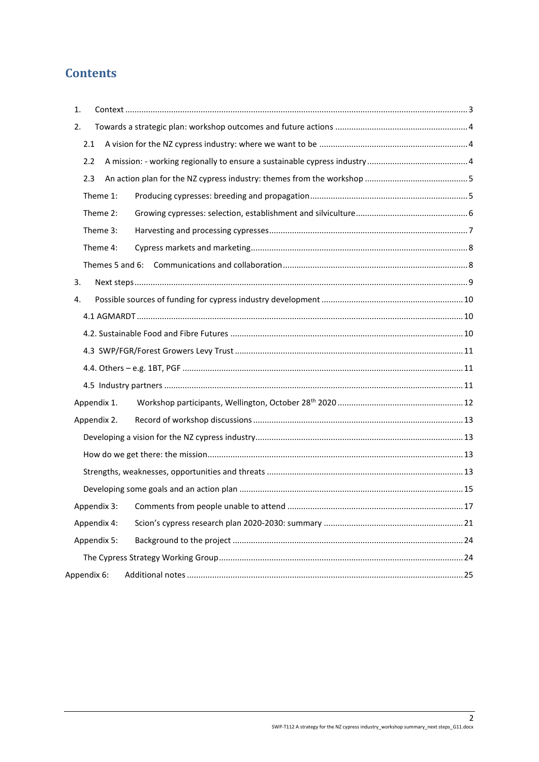# **Contents**

| 1.          |  |
|-------------|--|
| 2.          |  |
| 2.1         |  |
| 2.2         |  |
| 2.3         |  |
| Theme 1:    |  |
| Theme 2:    |  |
| Theme 3:    |  |
| Theme 4:    |  |
|             |  |
| 3.          |  |
| 4.          |  |
|             |  |
|             |  |
|             |  |
|             |  |
|             |  |
| Appendix 1. |  |
| Appendix 2. |  |
|             |  |
|             |  |
|             |  |
|             |  |
| Appendix 3: |  |
| Appendix 4: |  |
| Appendix 5: |  |
|             |  |
| Appendix 6: |  |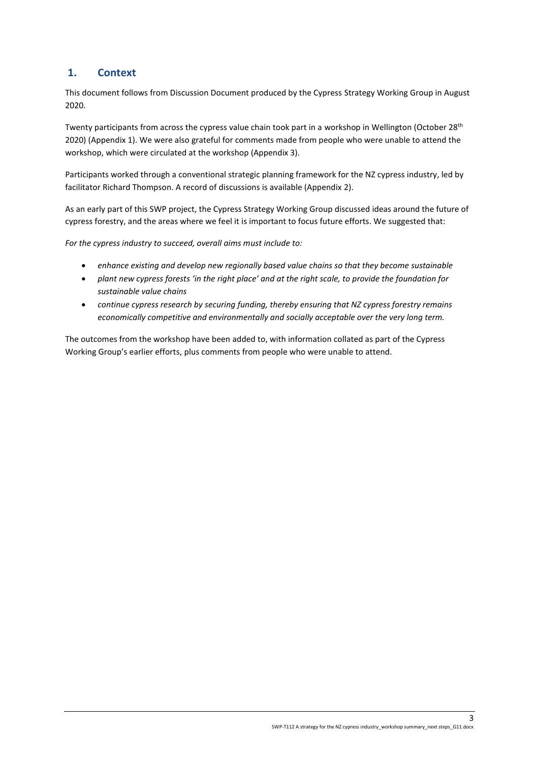# <span id="page-2-0"></span>**1. Context**

This document follows from Discussion Document produced by the Cypress Strategy Working Group in August 2020.

Twenty participants from across the cypress value chain took part in a workshop in Wellington (October 28<sup>th</sup> 2020) (Appendix 1). We were also grateful for comments made from people who were unable to attend the workshop, which were circulated at the workshop (Appendix 3).

Participants worked through a conventional strategic planning framework for the NZ cypress industry, led by facilitator Richard Thompson. A record of discussions is available (Appendix 2).

As an early part of this SWP project, the Cypress Strategy Working Group discussed ideas around the future of cypress forestry, and the areas where we feel it is important to focus future efforts. We suggested that:

*For the cypress industry to succeed, overall aims must include to:*

- *enhance existing and develop new regionally based value chains so that they become sustainable*
- *plant new cypress forests 'in the right place' and at the right scale, to provide the foundation for sustainable value chains*
- *continue cypress research by securing funding, thereby ensuring that NZ cypress forestry remains economically competitive and environmentally and socially acceptable over the very long term.*

The outcomes from the workshop have been added to, with information collated as part of the Cypress Working Group's earlier efforts, plus comments from people who were unable to attend.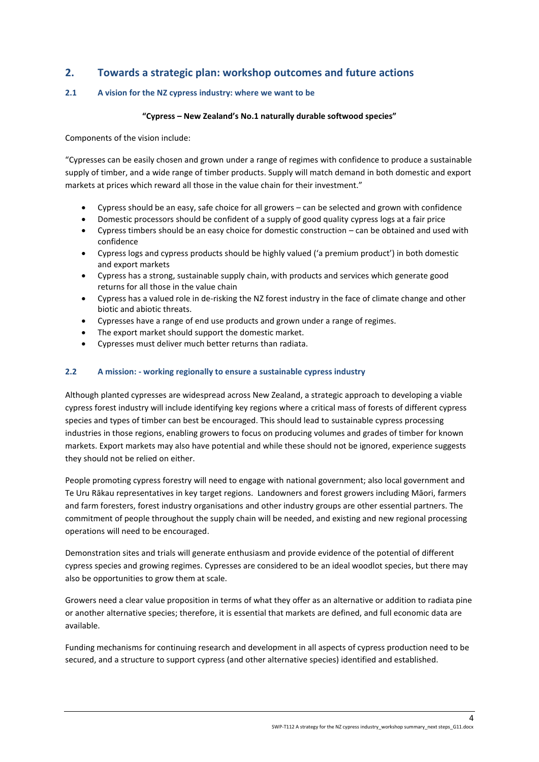# <span id="page-3-0"></span>**2. Towards a strategic plan: workshop outcomes and future actions**

# <span id="page-3-1"></span>**2.1 A vision for the NZ cypress industry: where we want to be**

#### **"Cypress – New Zealand's No.1 naturally durable softwood species"**

Components of the vision include:

"Cypresses can be easily chosen and grown under a range of regimes with confidence to produce a sustainable supply of timber, and a wide range of timber products. Supply will match demand in both domestic and export markets at prices which reward all those in the value chain for their investment."

- Cypress should be an easy, safe choice for all growers can be selected and grown with confidence
- Domestic processors should be confident of a supply of good quality cypress logs at a fair price
- Cypress timbers should be an easy choice for domestic construction can be obtained and used with confidence
- Cypress logs and cypress products should be highly valued ('a premium product') in both domestic and export markets
- Cypress has a strong, sustainable supply chain, with products and services which generate good returns for all those in the value chain
- Cypress has a valued role in de-risking the NZ forest industry in the face of climate change and other biotic and abiotic threats.
- Cypresses have a range of end use products and grown under a range of regimes.
- The export market should support the domestic market.
- Cypresses must deliver much better returns than radiata.

# <span id="page-3-2"></span>**2.2 A mission: - working regionally to ensure a sustainable cypress industry**

Although planted cypresses are widespread across New Zealand, a strategic approach to developing a viable cypress forest industry will include identifying key regions where a critical mass of forests of different cypress species and types of timber can best be encouraged. This should lead to sustainable cypress processing industries in those regions, enabling growers to focus on producing volumes and grades of timber for known markets. Export markets may also have potential and while these should not be ignored, experience suggests they should not be relied on either.

People promoting cypress forestry will need to engage with national government; also local government and Te Uru Rākau representatives in key target regions. Landowners and forest growers including Māori, farmers and farm foresters, forest industry organisations and other industry groups are other essential partners. The commitment of people throughout the supply chain will be needed, and existing and new regional processing operations will need to be encouraged.

Demonstration sites and trials will generate enthusiasm and provide evidence of the potential of different cypress species and growing regimes. Cypresses are considered to be an ideal woodlot species, but there may also be opportunities to grow them at scale.

Growers need a clear value proposition in terms of what they offer as an alternative or addition to radiata pine or another alternative species; therefore, it is essential that markets are defined, and full economic data are available.

Funding mechanisms for continuing research and development in all aspects of cypress production need to be secured, and a structure to support cypress (and other alternative species) identified and established.

4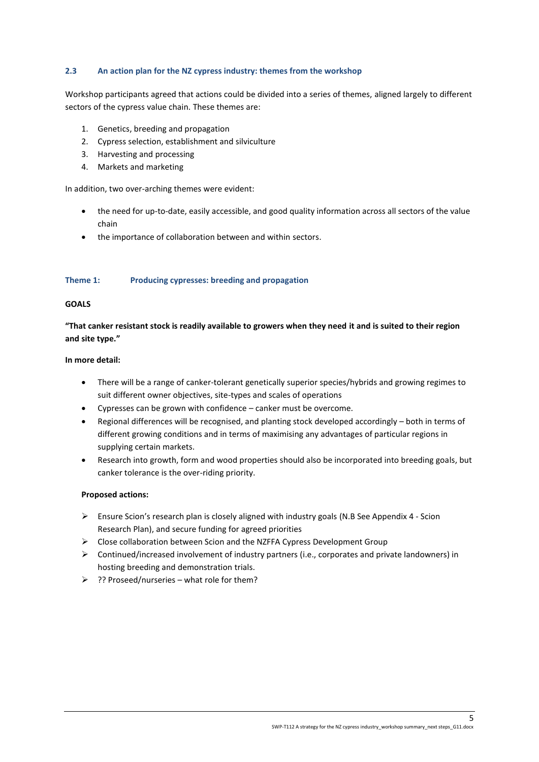# <span id="page-4-0"></span>**2.3 An action plan for the NZ cypress industry: themes from the workshop**

Workshop participants agreed that actions could be divided into a series of themes, aligned largely to different sectors of the cypress value chain. These themes are:

- 1. Genetics, breeding and propagation
- 2. Cypress selection, establishment and silviculture
- 3. Harvesting and processing
- 4. Markets and marketing

In addition, two over-arching themes were evident:

- the need for up-to-date, easily accessible, and good quality information across all sectors of the value chain
- the importance of collaboration between and within sectors.

#### <span id="page-4-1"></span>**Theme 1: Producing cypresses: breeding and propagation**

#### **GOALS**

**"That canker resistant stock is readily available to growers when they need it and is suited to their region and site type."**

#### **In more detail:**

- There will be a range of canker-tolerant genetically superior species/hybrids and growing regimes to suit different owner objectives, site-types and scales of operations
- Cypresses can be grown with confidence canker must be overcome.
- Regional differences will be recognised, and planting stock developed accordingly both in terms of different growing conditions and in terms of maximising any advantages of particular regions in supplying certain markets.
- Research into growth, form and wood properties should also be incorporated into breeding goals, but canker tolerance is the over-riding priority.

# **Proposed actions:**

- ➢ Ensure Scion's research plan is closely aligned with industry goals (N.B See Appendix 4 Scion Research Plan), and secure funding for agreed priorities
- ➢ Close collaboration between Scion and the NZFFA Cypress Development Group
- ➢ Continued/increased involvement of industry partners (i.e., corporates and private landowners) in hosting breeding and demonstration trials.
- ➢ ?? Proseed/nurseries what role for them?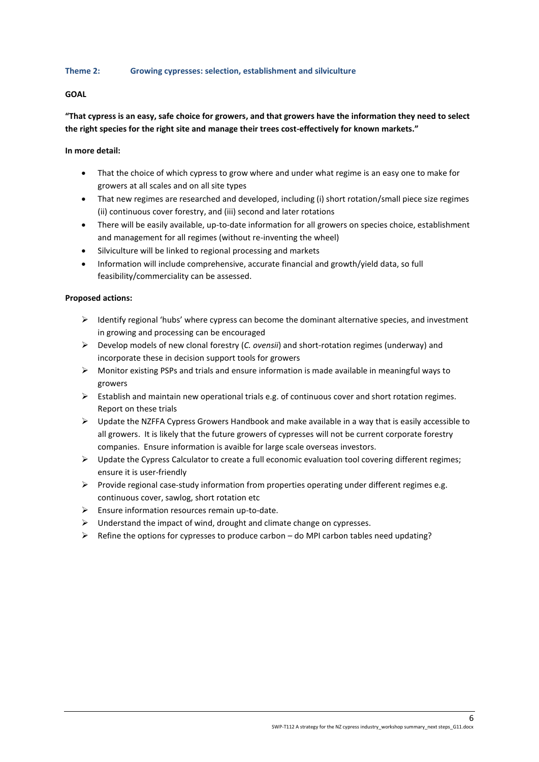# <span id="page-5-0"></span>**Theme 2: Growing cypresses: selection, establishment and silviculture**

# **GOAL**

# **"That cypress is an easy, safe choice for growers, and that growers have the information they need to select the right species for the right site and manage their trees cost-effectively for known markets."**

# **In more detail:**

- That the choice of which cypress to grow where and under what regime is an easy one to make for growers at all scales and on all site types
- That new regimes are researched and developed, including (i) short rotation/small piece size regimes (ii) continuous cover forestry, and (iii) second and later rotations
- There will be easily available, up-to-date information for all growers on species choice, establishment and management for all regimes (without re-inventing the wheel)
- Silviculture will be linked to regional processing and markets
- Information will include comprehensive, accurate financial and growth/yield data, so full feasibility/commerciality can be assessed.

# **Proposed actions:**

- $\triangleright$  Identify regional 'hubs' where cypress can become the dominant alternative species, and investment in growing and processing can be encouraged
- ➢ Develop models of new clonal forestry (*C. ovensii*) and short-rotation regimes (underway) and incorporate these in decision support tools for growers
- ➢ Monitor existing PSPs and trials and ensure information is made available in meaningful ways to growers
- $\triangleright$  Establish and maintain new operational trials e.g. of continuous cover and short rotation regimes. Report on these trials
- $\triangleright$  Update the NZFFA Cypress Growers Handbook and make available in a way that is easily accessible to all growers. It is likely that the future growers of cypresses will not be current corporate forestry companies. Ensure information is avaible for large scale overseas investors.
- ➢ Update the Cypress Calculator to create a full economic evaluation tool covering different regimes; ensure it is user-friendly
- $\triangleright$  Provide regional case-study information from properties operating under different regimes e.g. continuous cover, sawlog, short rotation etc
- ➢ Ensure information resources remain up-to-date.
- $\triangleright$  Understand the impact of wind, drought and climate change on cypresses.
- $\triangleright$  Refine the options for cypresses to produce carbon do MPI carbon tables need updating?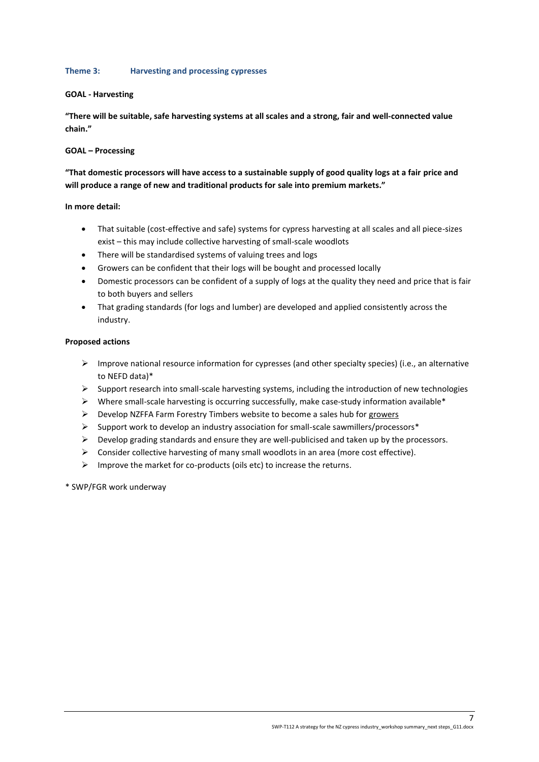# <span id="page-6-0"></span>**Theme 3: Harvesting and processing cypresses**

# **GOAL - Harvesting**

**"There will be suitable, safe harvesting systems at all scales and a strong, fair and well-connected value chain."**

# **GOAL – Processing**

# **"That domestic processors will have access to a sustainable supply of good quality logs at a fair price and will produce a range of new and traditional products for sale into premium markets."**

# **In more detail:**

- That suitable (cost-effective and safe) systems for cypress harvesting at all scales and all piece-sizes exist – this may include collective harvesting of small-scale woodlots
- There will be standardised systems of valuing trees and logs
- Growers can be confident that their logs will be bought and processed locally
- Domestic processors can be confident of a supply of logs at the quality they need and price that is fair to both buyers and sellers
- That grading standards (for logs and lumber) are developed and applied consistently across the industry.

# **Proposed actions**

- $\triangleright$  Improve national resource information for cypresses (and other specialty species) (i.e., an alternative to NEFD data)\*
- $\triangleright$  Support research into small-scale harvesting systems, including the introduction of new technologies
- $\triangleright$  Where small-scale harvesting is occurring successfully, make case-study information available\*
- ➢ Develop NZFFA Farm Forestry Timbers website to become a sales hub for growers
- ➢ Support work to develop an industry association for small-scale sawmillers/processors\*
- $\triangleright$  Develop grading standards and ensure they are well-publicised and taken up by the processors.
- $\triangleright$  Consider collective harvesting of many small woodlots in an area (more cost effective).
- ➢ Improve the market for co-products (oils etc) to increase the returns.
- \* SWP/FGR work underway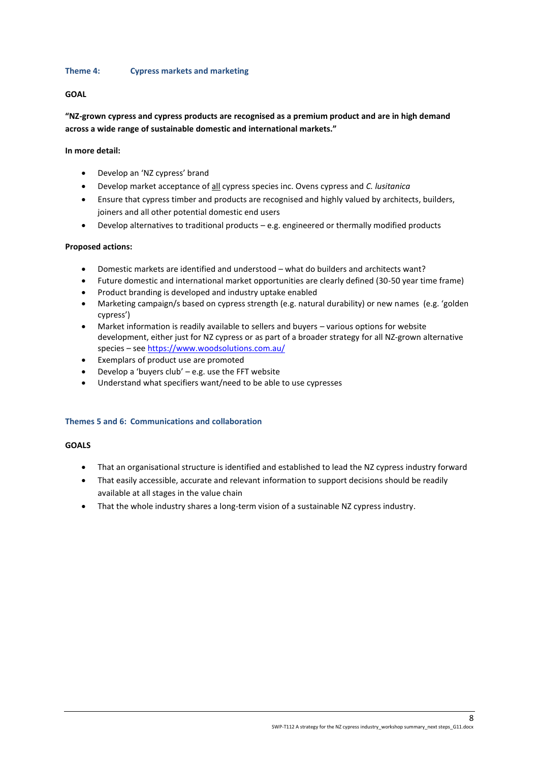# <span id="page-7-0"></span>**Theme 4: Cypress markets and marketing**

# **GOAL**

# **"NZ-grown cypress and cypress products are recognised as a premium product and are in high demand across a wide range of sustainable domestic and international markets."**

# **In more detail:**

- Develop an 'NZ cypress' brand
- Develop market acceptance of all cypress species inc. Ovens cypress and *C. lusitanica*
- Ensure that cypress timber and products are recognised and highly valued by architects, builders, joiners and all other potential domestic end users
- Develop alternatives to traditional products e.g. engineered or thermally modified products

# **Proposed actions:**

- Domestic markets are identified and understood what do builders and architects want?
- Future domestic and international market opportunities are clearly defined (30-50 year time frame)
- Product branding is developed and industry uptake enabled
- Marketing campaign/s based on cypress strength (e.g. natural durability) or new names (e.g. 'golden cypress')
- Market information is readily available to sellers and buyers various options for website development, either just for NZ cypress or as part of a broader strategy for all NZ-grown alternative species – see<https://www.woodsolutions.com.au/>
- Exemplars of product use are promoted
- Develop a 'buyers club'  $-$  e.g. use the FFT website
- Understand what specifiers want/need to be able to use cypresses

# <span id="page-7-1"></span>**Themes 5 and 6: Communications and collaboration**

# **GOALS**

- That an organisational structure is identified and established to lead the NZ cypress industry forward
- That easily accessible, accurate and relevant information to support decisions should be readily available at all stages in the value chain
- That the whole industry shares a long-term vision of a sustainable NZ cypress industry.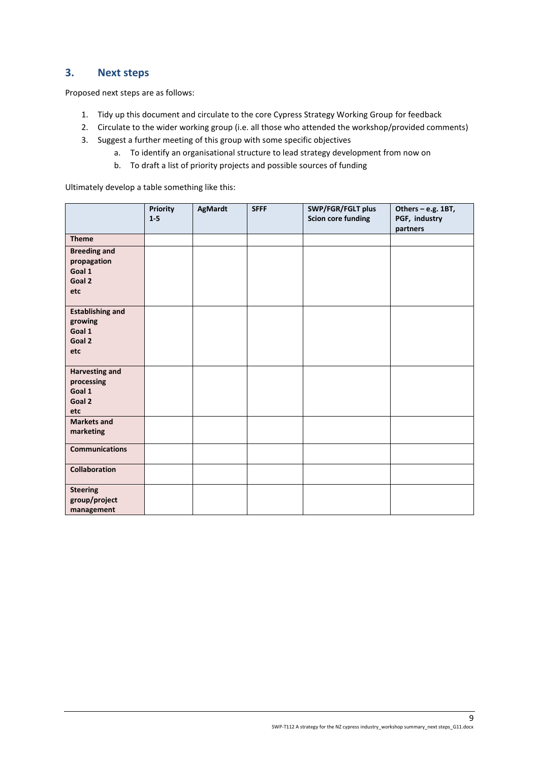# <span id="page-8-0"></span>**3. Next steps**

Proposed next steps are as follows:

- 1. Tidy up this document and circulate to the core Cypress Strategy Working Group for feedback
- 2. Circulate to the wider working group (i.e. all those who attended the workshop/provided comments)
- 3. Suggest a further meeting of this group with some specific objectives
	- a. To identify an organisational structure to lead strategy development from now on
	- b. To draft a list of priority projects and possible sources of funding

Ultimately develop a table something like this:

|                                                                | Priority<br>$1-5$ | AgMardt | <b>SFFF</b> | SWP/FGR/FGLT plus<br><b>Scion core funding</b> | Others - e.g. 1BT,<br>PGF, industry |
|----------------------------------------------------------------|-------------------|---------|-------------|------------------------------------------------|-------------------------------------|
|                                                                |                   |         |             |                                                | partners                            |
| <b>Theme</b>                                                   |                   |         |             |                                                |                                     |
| <b>Breeding and</b><br>propagation<br>Goal 1<br>Goal 2<br>etc  |                   |         |             |                                                |                                     |
|                                                                |                   |         |             |                                                |                                     |
| <b>Establishing and</b><br>growing<br>Goal 1<br>Goal 2<br>etc  |                   |         |             |                                                |                                     |
| <b>Harvesting and</b><br>processing<br>Goal 1<br>Goal 2<br>etc |                   |         |             |                                                |                                     |
| <b>Markets and</b><br>marketing                                |                   |         |             |                                                |                                     |
| <b>Communications</b>                                          |                   |         |             |                                                |                                     |
| Collaboration                                                  |                   |         |             |                                                |                                     |
| <b>Steering</b><br>group/project<br>management                 |                   |         |             |                                                |                                     |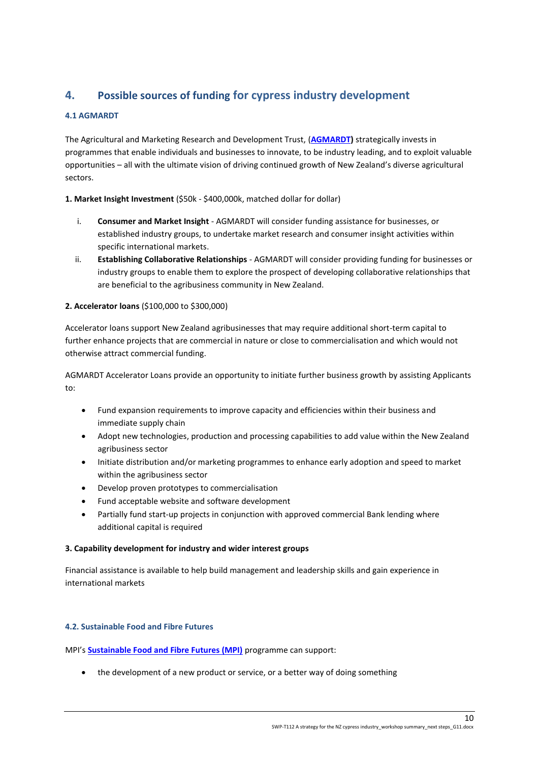# <span id="page-9-0"></span>**4. Possible sources of funding for cypress industry development**

# <span id="page-9-1"></span>**4.1 AGMARDT**

The Agricultural and Marketing Research and Development Trust, (**[AGMARDT\)](https://agmardt.org.nz/)** strategically invests in programmes that enable individuals and businesses to innovate, to be industry leading, and to exploit valuable opportunities – all with the ultimate vision of driving continued growth of New Zealand's diverse agricultural sectors.

# **1. Market Insight Investment** (\$50k - \$400,000k, matched dollar for dollar)

- i. **Consumer and Market Insight** AGMARDT will consider funding assistance for businesses, or established industry groups, to undertake market research and consumer insight activities within specific international markets.
- ii. **Establishing Collaborative Relationships** AGMARDT will consider providing funding for businesses or industry groups to enable them to explore the prospect of developing collaborative relationships that are beneficial to the agribusiness community in New Zealand.

# **2. Accelerator loans** (\$100,000 to \$300,000)

Accelerator loans support New Zealand agribusinesses that may require additional short-term capital to further enhance projects that are commercial in nature or close to commercialisation and which would not otherwise attract commercial funding.

AGMARDT Accelerator Loans provide an opportunity to initiate further business growth by assisting Applicants to:

- Fund expansion requirements to improve capacity and efficiencies within their business and immediate supply chain
- Adopt new technologies, production and processing capabilities to add value within the New Zealand agribusiness sector
- Initiate distribution and/or marketing programmes to enhance early adoption and speed to market within the agribusiness sector
- Develop proven prototypes to commercialisation
- Fund acceptable website and software development
- Partially fund start-up projects in conjunction with approved commercial Bank lending where additional capital is required

# **3. Capability development for industry and wider interest groups**

Financial assistance is available to help build management and leadership skills and gain experience in international markets

# <span id="page-9-2"></span>**4.2. Sustainable Food and Fibre Futures**

MPI's **[Sustainable Food and Fibre Futures \(MPI\)](https://sff-futures.mpi.govt.nz/funding-and-programmes/sustainable-food-and-fibre-futures/about-sustainable-food-and-fibre-futures/)** programme can support:

the development of a new product or service, or a better way of doing something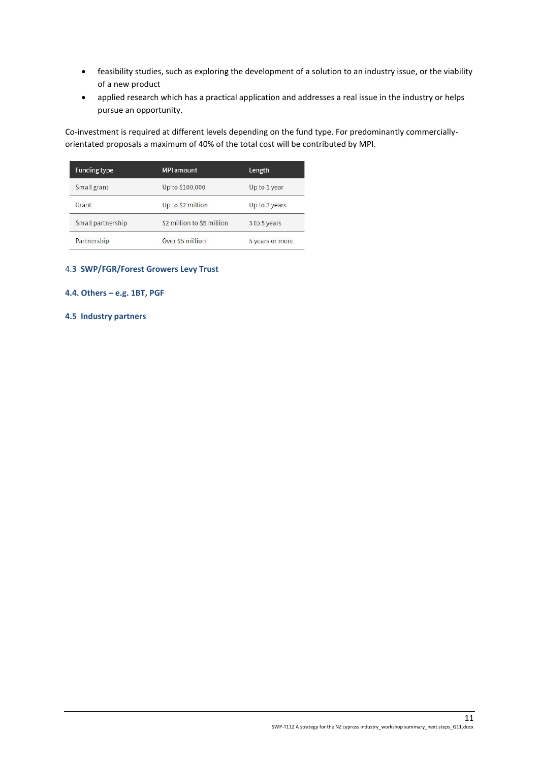- feasibility studies, such as exploring the development of a solution to an industry issue, or the viability of a new product
- applied research which has a practical application and addresses a real issue in the industry or helps pursue an opportunity.

Co-investment is required at different levels depending on the fund type. For predominantly commerciallyorientated proposals a maximum of 40% of the total cost will be contributed by MPI.

| <b>Funding type</b> | <b>MPI amount</b>          | Length          |
|---------------------|----------------------------|-----------------|
| Small grant         | Up to \$100,000            | Up to 1 year    |
| Grant               | Up to \$2 million          | Up to 3 years   |
| Small partnership   | \$2 million to \$5 million | 3 to 5 years    |
| Partnership         | Over \$5 million           | 5 years or more |

# <span id="page-10-0"></span>4.**3 SWP/FGR/Forest Growers Levy Trust**

# <span id="page-10-1"></span>**4.4. Others – e.g. 1BT, PGF**

# <span id="page-10-2"></span>**4.5 Industry partners**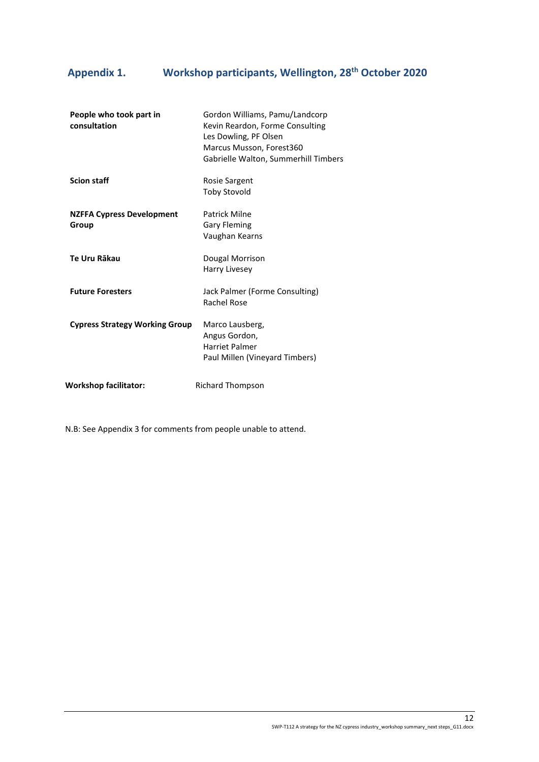# <span id="page-11-0"></span>**Appendix 1. Workshop participants, Wellington, 28th October 2020**

| People who took part in<br>consultation   | Gordon Williams, Pamu/Landcorp<br>Kevin Reardon, Forme Consulting<br>Les Dowling, PF Olsen<br>Marcus Musson, Forest360<br>Gabrielle Walton, Summerhill Timbers |
|-------------------------------------------|----------------------------------------------------------------------------------------------------------------------------------------------------------------|
| <b>Scion staff</b>                        | Rosie Sargent<br><b>Toby Stovold</b>                                                                                                                           |
| <b>NZFFA Cypress Development</b><br>Group | Patrick Milne<br><b>Gary Fleming</b><br>Vaughan Kearns                                                                                                         |
| Te Uru Rākau                              | Dougal Morrison<br>Harry Livesey                                                                                                                               |
| <b>Future Foresters</b>                   | Jack Palmer (Forme Consulting)<br>Rachel Rose                                                                                                                  |
| <b>Cypress Strategy Working Group</b>     | Marco Lausberg,<br>Angus Gordon,<br>Harriet Palmer<br>Paul Millen (Vineyard Timbers)                                                                           |
| <b>Workshop facilitator:</b>              | Richard Thompson                                                                                                                                               |

N.B: See Appendix 3 for comments from people unable to attend.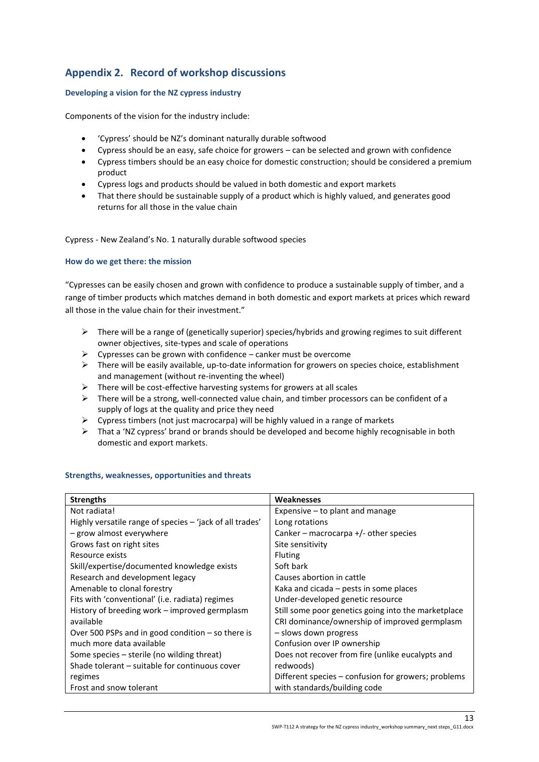# <span id="page-12-0"></span>**Appendix 2. Record of workshop discussions**

# <span id="page-12-1"></span>**Developing a vision for the NZ cypress industry**

Components of the vision for the industry include:

- 'Cypress' should be NZ's dominant naturally durable softwood
- Cypress should be an easy, safe choice for growers can be selected and grown with confidence
- Cypress timbers should be an easy choice for domestic construction; should be considered a premium product
- Cypress logs and products should be valued in both domestic and export markets
- That there should be sustainable supply of a product which is highly valued, and generates good returns for all those in the value chain

Cypress - New Zealand's No. 1 naturally durable softwood species

# <span id="page-12-2"></span>**How do we get there: the mission**

"Cypresses can be easily chosen and grown with confidence to produce a sustainable supply of timber, and a range of timber products which matches demand in both domestic and export markets at prices which reward all those in the value chain for their investment."

- $\triangleright$  There will be a range of (genetically superior) species/hybrids and growing regimes to suit different owner objectives, site-types and scale of operations
- $\triangleright$  Cypresses can be grown with confidence canker must be overcome
- $\triangleright$  There will be easily available, up-to-date information for growers on species choice, establishment and management (without re-inventing the wheel)
- ➢ There will be cost-effective harvesting systems for growers at all scales
- $\triangleright$  There will be a strong, well-connected value chain, and timber processors can be confident of a supply of logs at the quality and price they need
- ➢ Cypress timbers (not just macrocarpa) will be highly valued in a range of markets
- $\triangleright$  That a 'NZ cypress' brand or brands should be developed and become highly recognisable in both domestic and export markets.

# <span id="page-12-3"></span>**Strengths, weaknesses, opportunities and threats**

| <b>Strengths</b>                                         | Weaknesses                                          |
|----------------------------------------------------------|-----------------------------------------------------|
| Not radiata!                                             | Expensive $-$ to plant and manage                   |
| Highly versatile range of species - 'jack of all trades' | Long rotations                                      |
| - grow almost everywhere                                 | Canker – macrocarpa $+/-$ other species             |
| Grows fast on right sites                                | Site sensitivity                                    |
| Resource exists                                          | <b>Fluting</b>                                      |
| Skill/expertise/documented knowledge exists              | Soft bark                                           |
| Research and development legacy                          | Causes abortion in cattle                           |
| Amenable to clonal forestry                              | Kaka and cicada – pests in some places              |
| Fits with 'conventional' (i.e. radiata) regimes          | Under-developed genetic resource                    |
| History of breeding work – improved germplasm            | Still some poor genetics going into the marketplace |
| available                                                | CRI dominance/ownership of improved germplasm       |
| Over 500 PSPs and in good condition $-$ so there is      | - slows down progress                               |
| much more data available                                 | Confusion over IP ownership                         |
| Some species - sterile (no wilding threat)               | Does not recover from fire (unlike eucalypts and    |
| Shade tolerant – suitable for continuous cover           | redwoods)                                           |
| regimes                                                  | Different species - confusion for growers; problems |
| Frost and snow tolerant                                  | with standards/building code                        |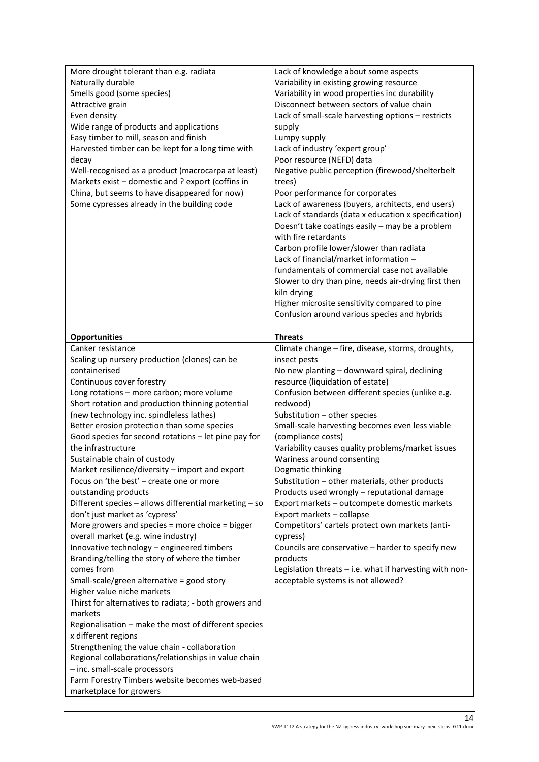| More drought tolerant than e.g. radiata                                    | Lack of knowledge about some aspects                      |
|----------------------------------------------------------------------------|-----------------------------------------------------------|
| Naturally durable                                                          | Variability in existing growing resource                  |
| Smells good (some species)                                                 | Variability in wood properties inc durability             |
| Attractive grain                                                           | Disconnect between sectors of value chain                 |
| Even density                                                               | Lack of small-scale harvesting options - restricts        |
| Wide range of products and applications                                    | supply                                                    |
| Easy timber to mill, season and finish                                     | Lumpy supply                                              |
| Harvested timber can be kept for a long time with                          | Lack of industry 'expert group'                           |
| decay                                                                      | Poor resource (NEFD) data                                 |
| Well-recognised as a product (macrocarpa at least)                         | Negative public perception (firewood/shelterbelt          |
| Markets exist - domestic and ? export (coffins in                          | trees)                                                    |
| China, but seems to have disappeared for now)                              | Poor performance for corporates                           |
| Some cypresses already in the building code                                | Lack of awareness (buyers, architects, end users)         |
|                                                                            | Lack of standards (data x education x specification)      |
|                                                                            | Doesn't take coatings easily - may be a problem           |
|                                                                            | with fire retardants                                      |
|                                                                            | Carbon profile lower/slower than radiata                  |
|                                                                            | Lack of financial/market information -                    |
|                                                                            | fundamentals of commercial case not available             |
|                                                                            | Slower to dry than pine, needs air-drying first then      |
|                                                                            | kiln drying                                               |
|                                                                            | Higher microsite sensitivity compared to pine             |
|                                                                            | Confusion around various species and hybrids              |
|                                                                            |                                                           |
| <b>Opportunities</b>                                                       | <b>Threats</b>                                            |
| Canker resistance                                                          | Climate change - fire, disease, storms, droughts,         |
| Scaling up nursery production (clones) can be                              | insect pests                                              |
| containerised                                                              | No new planting - downward spiral, declining              |
| Continuous cover forestry                                                  | resource (liquidation of estate)                          |
| Long rotations - more carbon; more volume                                  | Confusion between different species (unlike e.g.          |
| Short rotation and production thinning potential                           | redwood)                                                  |
| (new technology inc. spindleless lathes)                                   | Substitution - other species                              |
| Better erosion protection than some species                                | Small-scale harvesting becomes even less viable           |
| Good species for second rotations - let pine pay for                       | (compliance costs)                                        |
|                                                                            |                                                           |
| the infrastructure                                                         | Variability causes quality problems/market issues         |
| Sustainable chain of custody                                               | Wariness around consenting                                |
| Market resilience/diversity - import and export                            | Dogmatic thinking                                         |
| Focus on 'the best' - create one or more                                   | Substitution - other materials, other products            |
| outstanding products                                                       | Products used wrongly - reputational damage               |
| Different species - allows differential marketing - so                     | Export markets - outcompete domestic markets              |
| don't just market as 'cypress'                                             | Export markets - collapse                                 |
| More growers and species = more choice = bigger                            | Competitors' cartels protect own markets (anti-           |
| overall market (e.g. wine industry)                                        | cypress)                                                  |
| Innovative technology - engineered timbers                                 | Councils are conservative - harder to specify new         |
| Branding/telling the story of where the timber                             | products                                                  |
| comes from                                                                 | Legislation threats $-$ i.e. what if harvesting with non- |
| Small-scale/green alternative = good story                                 | acceptable systems is not allowed?                        |
| Higher value niche markets                                                 |                                                           |
| Thirst for alternatives to radiata; - both growers and                     |                                                           |
| markets                                                                    |                                                           |
| Regionalisation - make the most of different species                       |                                                           |
| x different regions                                                        |                                                           |
| Strengthening the value chain - collaboration                              |                                                           |
| Regional collaborations/relationships in value chain                       |                                                           |
| - inc. small-scale processors                                              |                                                           |
| Farm Forestry Timbers website becomes web-based<br>marketplace for growers |                                                           |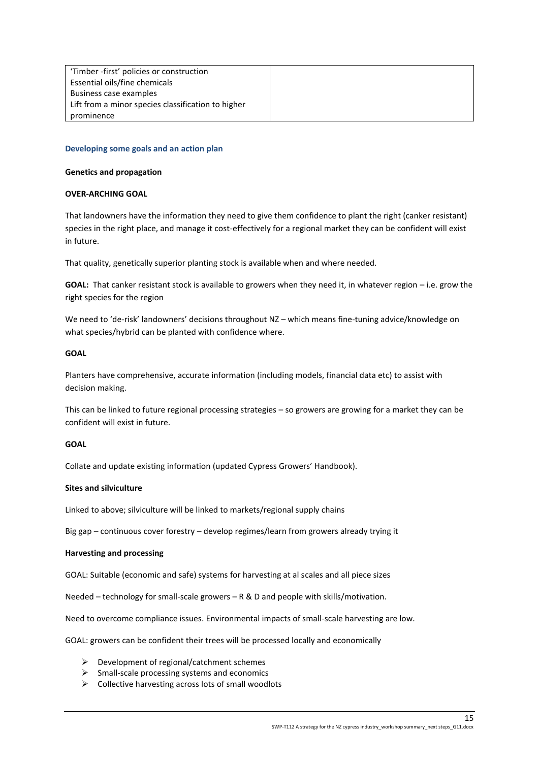| 'Timber -first' policies or construction           |  |
|----------------------------------------------------|--|
| Essential oils/fine chemicals                      |  |
| Business case examples                             |  |
| Lift from a minor species classification to higher |  |
| prominence                                         |  |

#### <span id="page-14-0"></span>**Developing some goals and an action plan**

#### **Genetics and propagation**

#### **OVER-ARCHING GOAL**

That landowners have the information they need to give them confidence to plant the right (canker resistant) species in the right place, and manage it cost-effectively for a regional market they can be confident will exist in future.

That quality, genetically superior planting stock is available when and where needed.

**GOAL:** That canker resistant stock is available to growers when they need it, in whatever region – i.e. grow the right species for the region

We need to 'de-risk' landowners' decisions throughout NZ – which means fine-tuning advice/knowledge on what species/hybrid can be planted with confidence where.

# **GOAL**

Planters have comprehensive, accurate information (including models, financial data etc) to assist with decision making.

This can be linked to future regional processing strategies – so growers are growing for a market they can be confident will exist in future.

# **GOAL**

Collate and update existing information (updated Cypress Growers' Handbook).

#### **Sites and silviculture**

Linked to above; silviculture will be linked to markets/regional supply chains

Big gap – continuous cover forestry – develop regimes/learn from growers already trying it

#### **Harvesting and processing**

GOAL: Suitable (economic and safe) systems for harvesting at al scales and all piece sizes

Needed – technology for small-scale growers – R & D and people with skills/motivation.

Need to overcome compliance issues. Environmental impacts of small-scale harvesting are low.

GOAL: growers can be confident their trees will be processed locally and economically

- ➢ Development of regional/catchment schemes
- $\triangleright$  Small-scale processing systems and economics
- ➢ Collective harvesting across lots of small woodlots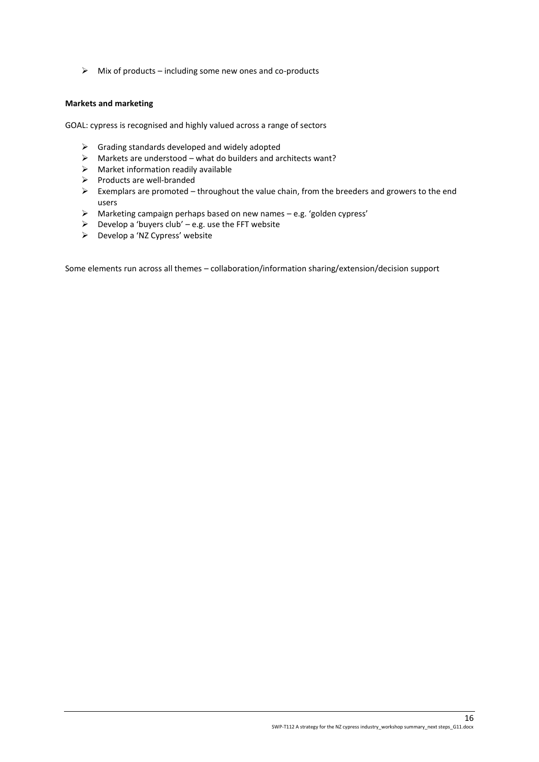$\triangleright$  Mix of products – including some new ones and co-products

# **Markets and marketing**

GOAL: cypress is recognised and highly valued across a range of sectors

- $\triangleright$  Grading standards developed and widely adopted
- ➢ Markets are understood what do builders and architects want?
- $\triangleright$  Market information readily available
- ➢ Products are well-branded
- ➢ Exemplars are promoted throughout the value chain, from the breeders and growers to the end users
- ➢ Marketing campaign perhaps based on new names e.g. 'golden cypress'
- $\triangleright$  Develop a 'buyers club' e.g. use the FFT website
- ➢ Develop a 'NZ Cypress' website

Some elements run across all themes – collaboration/information sharing/extension/decision support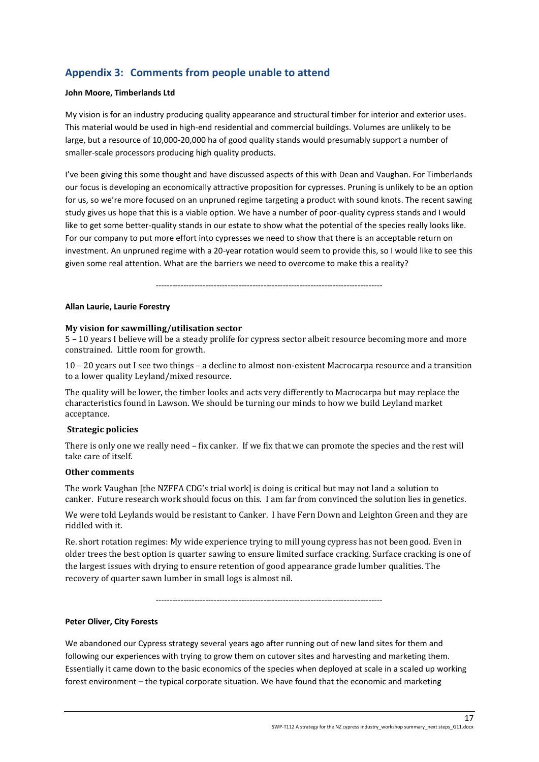# <span id="page-16-0"></span>**Appendix 3: Comments from people unable to attend**

# **John Moore, Timberlands Ltd**

My vision is for an industry producing quality appearance and structural timber for interior and exterior uses. This material would be used in high-end residential and commercial buildings. Volumes are unlikely to be large, but a resource of 10,000-20,000 ha of good quality stands would presumably support a number of smaller-scale processors producing high quality products.

I've been giving this some thought and have discussed aspects of this with Dean and Vaughan. For Timberlands our focus is developing an economically attractive proposition for cypresses. Pruning is unlikely to be an option for us, so we're more focused on an unpruned regime targeting a product with sound knots. The recent sawing study gives us hope that this is a viable option. We have a number of poor-quality cypress stands and I would like to get some better-quality stands in our estate to show what the potential of the species really looks like. For our company to put more effort into cypresses we need to show that there is an acceptable return on investment. An unpruned regime with a 20-year rotation would seem to provide this, so I would like to see this given some real attention. What are the barriers we need to overcome to make this a reality?

----------------------------------------------------------------------------------

# **Allan Laurie, Laurie Forestry**

# **My vision for sawmilling/utilisation sector**

5 – 10 years I believe will be a steady prolife for cypress sector albeit resource becoming more and more constrained. Little room for growth.

10 – 20 years out I see two things – a decline to almost non-existent Macrocarpa resource and a transition to a lower quality Leyland/mixed resource.

The quality will be lower, the timber looks and acts very differently to Macrocarpa but may replace the characteristics found in Lawson. We should be turning our minds to how we build Leyland market acceptance.

# **Strategic policies**

There is only one we really need – fix canker. If we fix that we can promote the species and the rest will take care of itself.

# **Other comments**

The work Vaughan [the NZFFA CDG's trial work] is doing is critical but may not land a solution to canker. Future research work should focus on this. I am far from convinced the solution lies in genetics.

We were told Leylands would be resistant to Canker. I have Fern Down and Leighton Green and they are riddled with it.

Re. short rotation regimes: My wide experience trying to mill young cypress has not been good. Even in older trees the best option is quarter sawing to ensure limited surface cracking. Surface cracking is one of the largest issues with drying to ensure retention of good appearance grade lumber qualities. The recovery of quarter sawn lumber in small logs is almost nil.

----------------------------------------------------------------------------------

# **Peter Oliver, City Forests**

We abandoned our Cypress strategy several years ago after running out of new land sites for them and following our experiences with trying to grow them on cutover sites and harvesting and marketing them. Essentially it came down to the basic economics of the species when deployed at scale in a scaled up working forest environment – the typical corporate situation. We have found that the economic and marketing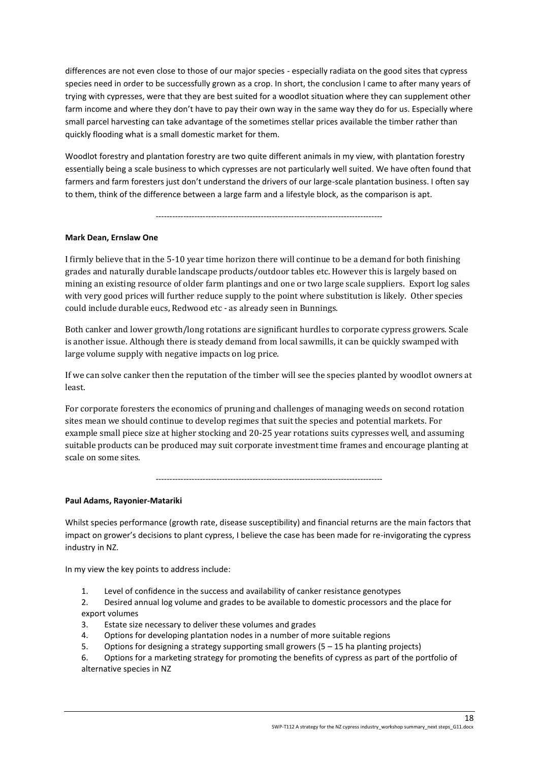differences are not even close to those of our major species - especially radiata on the good sites that cypress species need in order to be successfully grown as a crop. In short, the conclusion I came to after many years of trying with cypresses, were that they are best suited for a woodlot situation where they can supplement other farm income and where they don't have to pay their own way in the same way they do for us. Especially where small parcel harvesting can take advantage of the sometimes stellar prices available the timber rather than quickly flooding what is a small domestic market for them.

Woodlot forestry and plantation forestry are two quite different animals in my view, with plantation forestry essentially being a scale business to which cypresses are not particularly well suited. We have often found that farmers and farm foresters just don't understand the drivers of our large-scale plantation business. I often say to them, think of the difference between a large farm and a lifestyle block, as the comparison is apt.

----------------------------------------------------------------------------------

# **Mark Dean, Ernslaw One**

I firmly believe that in the 5-10 year time horizon there will continue to be a demand for both finishing grades and naturally durable landscape products/outdoor tables etc. However this is largely based on mining an existing resource of older farm plantings and one or two large scale suppliers. Export log sales with very good prices will further reduce supply to the point where substitution is likely. Other species could include durable eucs, Redwood etc - as already seen in Bunnings.

Both canker and lower growth/long rotations are significant hurdles to corporate cypress growers. Scale is another issue. Although there is steady demand from local sawmills, it can be quickly swamped with large volume supply with negative impacts on log price.

If we can solve canker then the reputation of the timber will see the species planted by woodlot owners at least.

For corporate foresters the economics of pruning and challenges of managing weeds on second rotation sites mean we should continue to develop regimes that suit the species and potential markets. For example small piece size at higher stocking and 20-25 year rotations suits cypresses well, and assuming suitable products can be produced may suit corporate investment time frames and encourage planting at scale on some sites.

----------------------------------------------------------------------------------

# **Paul Adams, Rayonier-Matariki**

Whilst species performance (growth rate, disease susceptibility) and financial returns are the main factors that impact on grower's decisions to plant cypress, I believe the case has been made for re-invigorating the cypress industry in NZ.

In my view the key points to address include:

- 1. Level of confidence in the success and availability of canker resistance genotypes
- 2. Desired annual log volume and grades to be available to domestic processors and the place for export volumes
- 3. Estate size necessary to deliver these volumes and grades
- 4. Options for developing plantation nodes in a number of more suitable regions
- 5. Options for designing a strategy supporting small growers (5 15 ha planting projects)

6. Options for a marketing strategy for promoting the benefits of cypress as part of the portfolio of alternative species in NZ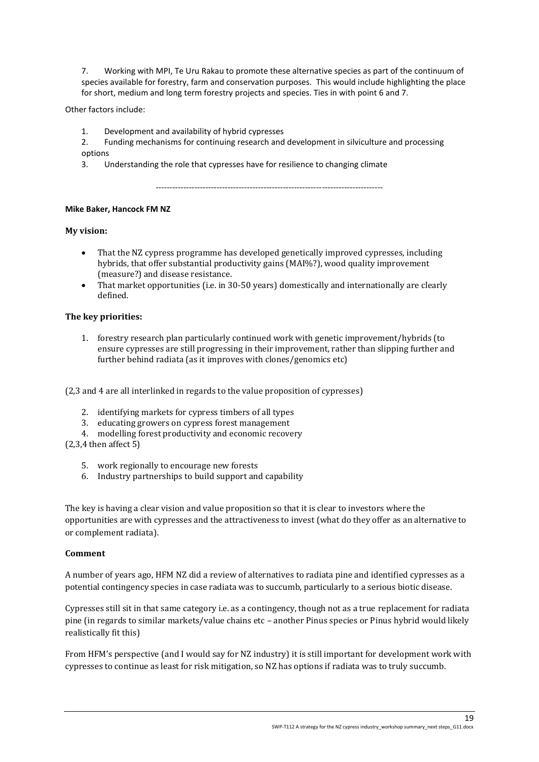7. Working with MPI, Te Uru Rakau to promote these alternative species as part of the continuum of species available for forestry, farm and conservation purposes. This would include highlighting the place for short, medium and long term forestry projects and species. Ties in with point 6 and 7.

Other factors include:

- 1. Development and availability of hybrid cypresses
- 2. Funding mechanisms for continuing research and development in silviculture and processing options
- 3. Understanding the role that cypresses have for resilience to changing climate

----------------------------------------------------------------------------------

# **Mike Baker, Hancock FM NZ**

# **My vision:**

- That the NZ cypress programme has developed genetically improved cypresses, including hybrids, that offer substantial productivity gains (MAI%?), wood quality improvement (measure?) and disease resistance.
- That market opportunities (i.e. in 30-50 years) domestically and internationally are clearly defined.

# **The key priorities:**

1. forestry research plan particularly continued work with genetic improvement/hybrids (to ensure cypresses are still progressing in their improvement, rather than slipping further and further behind radiata (as it improves with clones/genomics etc)

(2,3 and 4 are all interlinked in regards to the value proposition of cypresses)

- 2. identifying markets for cypress timbers of all types
- 3. educating growers on cypress forest management
- 4. modelling forest productivity and economic recovery

(2,3,4 then affect 5)

- 5. work regionally to encourage new forests
- 6. Industry partnerships to build support and capability

The key is having a clear vision and value proposition so that it is clear to investors where the opportunities are with cypresses and the attractiveness to invest (what do they offer as an alternative to or complement radiata).

# **Comment**

A number of years ago, HFM NZ did a review of alternatives to radiata pine and identified cypresses as a potential contingency species in case radiata was to succumb, particularly to a serious biotic disease.

Cypresses still sit in that same category i.e. as a contingency, though not as a true replacement for radiata pine (in regards to similar markets/value chains etc – another Pinus species or Pinus hybrid would likely realistically fit this)

From HFM's perspective (and I would say for NZ industry) it is still important for development work with cypresses to continue as least for risk mitigation, so NZ has options if radiata was to truly succumb.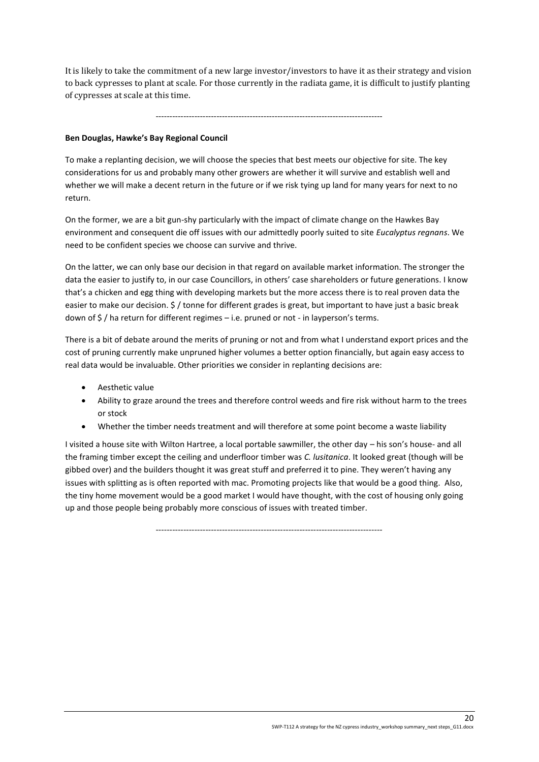It is likely to take the commitment of a new large investor/investors to have it as their strategy and vision to back cypresses to plant at scale. For those currently in the radiata game, it is difficult to justify planting of cypresses at scale at this time.

----------------------------------------------------------------------------------

# **Ben Douglas, Hawke's Bay Regional Council**

To make a replanting decision, we will choose the species that best meets our objective for site. The key considerations for us and probably many other growers are whether it will survive and establish well and whether we will make a decent return in the future or if we risk tying up land for many years for next to no return.

On the former, we are a bit gun-shy particularly with the impact of climate change on the Hawkes Bay environment and consequent die off issues with our admittedly poorly suited to site *Eucalyptus regnans*. We need to be confident species we choose can survive and thrive.

On the latter, we can only base our decision in that regard on available market information. The stronger the data the easier to justify to, in our case Councillors, in others' case shareholders or future generations. I know that's a chicken and egg thing with developing markets but the more access there is to real proven data the easier to make our decision. \$ / tonne for different grades is great, but important to have just a basic break down of \$ / ha return for different regimes – i.e. pruned or not - in layperson's terms.

There is a bit of debate around the merits of pruning or not and from what I understand export prices and the cost of pruning currently make unpruned higher volumes a better option financially, but again easy access to real data would be invaluable. Other priorities we consider in replanting decisions are:

- Aesthetic value
- Ability to graze around the trees and therefore control weeds and fire risk without harm to the trees or stock
- Whether the timber needs treatment and will therefore at some point become a waste liability

I visited a house site with Wilton Hartree, a local portable sawmiller, the other day – his son's house- and all the framing timber except the ceiling and underfloor timber was *C. lusitanica*. It looked great (though will be gibbed over) and the builders thought it was great stuff and preferred it to pine. They weren't having any issues with splitting as is often reported with mac. Promoting projects like that would be a good thing. Also, the tiny home movement would be a good market I would have thought, with the cost of housing only going up and those people being probably more conscious of issues with treated timber.

----------------------------------------------------------------------------------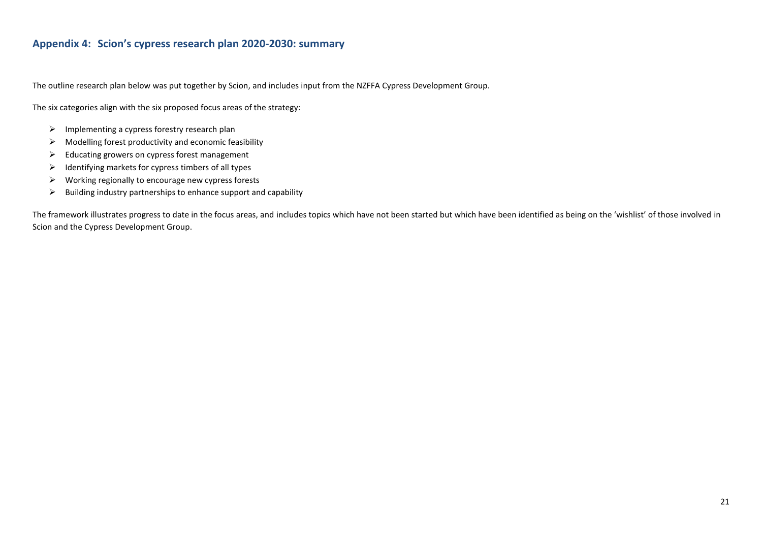# **Appendix 4: Scion's cypress research plan 2020-2030: summary**

The outline research plan below was put together by Scion, and includes input from the NZFFA Cypress Development Group.

The six categories align with the six proposed focus areas of the strategy:

- ➢ Implementing a cypress forestry research plan
- $\triangleright$  Modelling forest productivity and economic feasibility
- ➢ Educating growers on cypress forest management
- $\triangleright$  Identifying markets for cypress timbers of all types
- $\triangleright$  Working regionally to encourage new cypress forests
- $\triangleright$  Building industry partnerships to enhance support and capability

<span id="page-20-0"></span>The framework illustrates progress to date in the focus areas, and includes topics which have not been started but which have been identified as being on the 'wishlist' of those involved in Scion and the Cypress Development Group.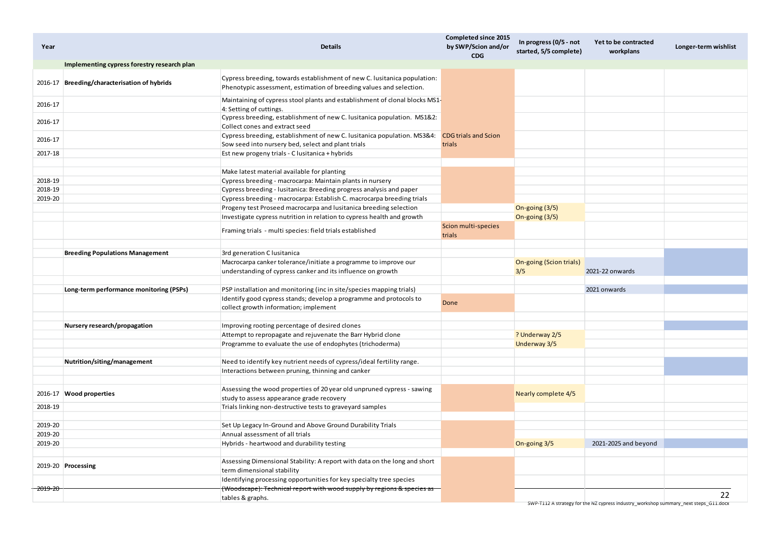| Implementing cypress forestry research plan<br>Cypress breeding, towards establishment of new C. Iusitanica population:<br>2016-17 Breeding/characterisation of hybrids<br>Phenotypic assessment, estimation of breeding values and selection.<br>Maintaining of cypress stool plants and establishment of clonal blocks MS1-<br>2016-17<br>4: Setting of cuttings.<br>Cypress breeding, establishment of new C. Iusitanica population. MS1&2:<br>2016-17<br>Collect cones and extract seed<br>Cypress breeding, establishment of new C. Iusitanica population. MS3&4:<br><b>CDG trials and Scion</b><br>2016-17<br>Sow seed into nursery bed, select and plant trials<br>trials<br>Est new progeny trials - C lusitanica + hybrids<br>2017-18<br>Make latest material available for planting<br>2018-19<br>Cypress breeding - macrocarpa: Maintain plants in nursery<br>2018-19<br>Cypress breeding - lusitanica: Breeding progress analysis and paper<br>Cypress breeding - macrocarpa: Establish C. macrocarpa breeding trials<br>2019-20<br>Progeny test Proseed macrocarpa and lusitanica breeding selection<br>On-going (3/5)<br>Investigate cypress nutrition in relation to cypress health and growth<br>On-going (3/5)<br>Scion multi-species<br>Framing trials - multi species: field trials established<br>trials<br>3rd generation C lusitanica<br><b>Breeding Populations Management</b><br>Macrocarpa canker tolerance/initiate a programme to improve our<br>On-going (Scion trials)<br>3/5<br>2021-22 onwards<br>understanding of cypress canker and its influence on growth<br>PSP installation and monitoring (inc in site/species mapping trials)<br>Long-term performance monitoring (PSPs)<br>2021 onwards<br>Identify good cypress stands; develop a programme and protocols to<br>Done<br>collect growth information; implement<br>Improving rooting percentage of desired clones<br>Nursery research/propagation<br>Attempt to repropagate and rejuvenate the Barr Hybrid clone<br>? Underway 2/5<br>Underway 3/5<br>Programme to evaluate the use of endophytes (trichoderma)<br>Nutrition/siting/management<br>Need to identify key nutrient needs of cypress/ideal fertility range.<br>Interactions between pruning, thinning and canker<br>Assessing the wood properties of 20 year old unpruned cypress - sawing<br>2016-17 Wood properties<br>Nearly complete 4/5<br>study to assess appearance grade recovery<br>Trials linking non-destructive tests to graveyard samples<br>2018-19<br>2019-20<br>Set Up Legacy In-Ground and Above Ground Durability Trials<br>2019-20<br>Annual assessment of all trials<br>2019-20<br>2021-2025 and beyond<br>Hybrids - heartwood and durability testing<br>On-going 3/5<br>Assessing Dimensional Stability: A report with data on the long and short<br>2019-20 Processing<br>term dimensional stability<br>Identifying processing opportunities for key specialty tree species<br>(Woodscape): Technical report with wood supply by regions & species as<br><del>2019-20</del><br>22<br>tables & graphs.<br>SWP-T112 A strategy for the NZ cypress industry workshop summary next steps G11.docx | Year | <b>Details</b> | <b>Completed since 2015</b><br>by SWP/Scion and/or<br><b>CDG</b> | In progress (0/5 - not<br>started, 5/5 complete) | Yet to be contracted<br>workplans | Longer-term wishlist |
|------------------------------------------------------------------------------------------------------------------------------------------------------------------------------------------------------------------------------------------------------------------------------------------------------------------------------------------------------------------------------------------------------------------------------------------------------------------------------------------------------------------------------------------------------------------------------------------------------------------------------------------------------------------------------------------------------------------------------------------------------------------------------------------------------------------------------------------------------------------------------------------------------------------------------------------------------------------------------------------------------------------------------------------------------------------------------------------------------------------------------------------------------------------------------------------------------------------------------------------------------------------------------------------------------------------------------------------------------------------------------------------------------------------------------------------------------------------------------------------------------------------------------------------------------------------------------------------------------------------------------------------------------------------------------------------------------------------------------------------------------------------------------------------------------------------------------------------------------------------------------------------------------------------------------------------------------------------------------------------------------------------------------------------------------------------------------------------------------------------------------------------------------------------------------------------------------------------------------------------------------------------------------------------------------------------------------------------------------------------------------------------------------------------------------------------------------------------------------------------------------------------------------------------------------------------------------------------------------------------------------------------------------------------------------------------------------------------------------------------------------------------------------------------------------------------------------------------------------------------------------------------------------------------------------------------------------------------------------------------------------------------------------------------------------------------------------------------------------------------------------------------------------------------------|------|----------------|------------------------------------------------------------------|--------------------------------------------------|-----------------------------------|----------------------|
|                                                                                                                                                                                                                                                                                                                                                                                                                                                                                                                                                                                                                                                                                                                                                                                                                                                                                                                                                                                                                                                                                                                                                                                                                                                                                                                                                                                                                                                                                                                                                                                                                                                                                                                                                                                                                                                                                                                                                                                                                                                                                                                                                                                                                                                                                                                                                                                                                                                                                                                                                                                                                                                                                                                                                                                                                                                                                                                                                                                                                                                                                                                                                                        |      |                |                                                                  |                                                  |                                   |                      |
|                                                                                                                                                                                                                                                                                                                                                                                                                                                                                                                                                                                                                                                                                                                                                                                                                                                                                                                                                                                                                                                                                                                                                                                                                                                                                                                                                                                                                                                                                                                                                                                                                                                                                                                                                                                                                                                                                                                                                                                                                                                                                                                                                                                                                                                                                                                                                                                                                                                                                                                                                                                                                                                                                                                                                                                                                                                                                                                                                                                                                                                                                                                                                                        |      |                |                                                                  |                                                  |                                   |                      |
|                                                                                                                                                                                                                                                                                                                                                                                                                                                                                                                                                                                                                                                                                                                                                                                                                                                                                                                                                                                                                                                                                                                                                                                                                                                                                                                                                                                                                                                                                                                                                                                                                                                                                                                                                                                                                                                                                                                                                                                                                                                                                                                                                                                                                                                                                                                                                                                                                                                                                                                                                                                                                                                                                                                                                                                                                                                                                                                                                                                                                                                                                                                                                                        |      |                |                                                                  |                                                  |                                   |                      |
|                                                                                                                                                                                                                                                                                                                                                                                                                                                                                                                                                                                                                                                                                                                                                                                                                                                                                                                                                                                                                                                                                                                                                                                                                                                                                                                                                                                                                                                                                                                                                                                                                                                                                                                                                                                                                                                                                                                                                                                                                                                                                                                                                                                                                                                                                                                                                                                                                                                                                                                                                                                                                                                                                                                                                                                                                                                                                                                                                                                                                                                                                                                                                                        |      |                |                                                                  |                                                  |                                   |                      |
|                                                                                                                                                                                                                                                                                                                                                                                                                                                                                                                                                                                                                                                                                                                                                                                                                                                                                                                                                                                                                                                                                                                                                                                                                                                                                                                                                                                                                                                                                                                                                                                                                                                                                                                                                                                                                                                                                                                                                                                                                                                                                                                                                                                                                                                                                                                                                                                                                                                                                                                                                                                                                                                                                                                                                                                                                                                                                                                                                                                                                                                                                                                                                                        |      |                |                                                                  |                                                  |                                   |                      |
|                                                                                                                                                                                                                                                                                                                                                                                                                                                                                                                                                                                                                                                                                                                                                                                                                                                                                                                                                                                                                                                                                                                                                                                                                                                                                                                                                                                                                                                                                                                                                                                                                                                                                                                                                                                                                                                                                                                                                                                                                                                                                                                                                                                                                                                                                                                                                                                                                                                                                                                                                                                                                                                                                                                                                                                                                                                                                                                                                                                                                                                                                                                                                                        |      |                |                                                                  |                                                  |                                   |                      |
|                                                                                                                                                                                                                                                                                                                                                                                                                                                                                                                                                                                                                                                                                                                                                                                                                                                                                                                                                                                                                                                                                                                                                                                                                                                                                                                                                                                                                                                                                                                                                                                                                                                                                                                                                                                                                                                                                                                                                                                                                                                                                                                                                                                                                                                                                                                                                                                                                                                                                                                                                                                                                                                                                                                                                                                                                                                                                                                                                                                                                                                                                                                                                                        |      |                |                                                                  |                                                  |                                   |                      |
|                                                                                                                                                                                                                                                                                                                                                                                                                                                                                                                                                                                                                                                                                                                                                                                                                                                                                                                                                                                                                                                                                                                                                                                                                                                                                                                                                                                                                                                                                                                                                                                                                                                                                                                                                                                                                                                                                                                                                                                                                                                                                                                                                                                                                                                                                                                                                                                                                                                                                                                                                                                                                                                                                                                                                                                                                                                                                                                                                                                                                                                                                                                                                                        |      |                |                                                                  |                                                  |                                   |                      |
|                                                                                                                                                                                                                                                                                                                                                                                                                                                                                                                                                                                                                                                                                                                                                                                                                                                                                                                                                                                                                                                                                                                                                                                                                                                                                                                                                                                                                                                                                                                                                                                                                                                                                                                                                                                                                                                                                                                                                                                                                                                                                                                                                                                                                                                                                                                                                                                                                                                                                                                                                                                                                                                                                                                                                                                                                                                                                                                                                                                                                                                                                                                                                                        |      |                |                                                                  |                                                  |                                   |                      |
|                                                                                                                                                                                                                                                                                                                                                                                                                                                                                                                                                                                                                                                                                                                                                                                                                                                                                                                                                                                                                                                                                                                                                                                                                                                                                                                                                                                                                                                                                                                                                                                                                                                                                                                                                                                                                                                                                                                                                                                                                                                                                                                                                                                                                                                                                                                                                                                                                                                                                                                                                                                                                                                                                                                                                                                                                                                                                                                                                                                                                                                                                                                                                                        |      |                |                                                                  |                                                  |                                   |                      |
|                                                                                                                                                                                                                                                                                                                                                                                                                                                                                                                                                                                                                                                                                                                                                                                                                                                                                                                                                                                                                                                                                                                                                                                                                                                                                                                                                                                                                                                                                                                                                                                                                                                                                                                                                                                                                                                                                                                                                                                                                                                                                                                                                                                                                                                                                                                                                                                                                                                                                                                                                                                                                                                                                                                                                                                                                                                                                                                                                                                                                                                                                                                                                                        |      |                |                                                                  |                                                  |                                   |                      |
|                                                                                                                                                                                                                                                                                                                                                                                                                                                                                                                                                                                                                                                                                                                                                                                                                                                                                                                                                                                                                                                                                                                                                                                                                                                                                                                                                                                                                                                                                                                                                                                                                                                                                                                                                                                                                                                                                                                                                                                                                                                                                                                                                                                                                                                                                                                                                                                                                                                                                                                                                                                                                                                                                                                                                                                                                                                                                                                                                                                                                                                                                                                                                                        |      |                |                                                                  |                                                  |                                   |                      |
|                                                                                                                                                                                                                                                                                                                                                                                                                                                                                                                                                                                                                                                                                                                                                                                                                                                                                                                                                                                                                                                                                                                                                                                                                                                                                                                                                                                                                                                                                                                                                                                                                                                                                                                                                                                                                                                                                                                                                                                                                                                                                                                                                                                                                                                                                                                                                                                                                                                                                                                                                                                                                                                                                                                                                                                                                                                                                                                                                                                                                                                                                                                                                                        |      |                |                                                                  |                                                  |                                   |                      |
|                                                                                                                                                                                                                                                                                                                                                                                                                                                                                                                                                                                                                                                                                                                                                                                                                                                                                                                                                                                                                                                                                                                                                                                                                                                                                                                                                                                                                                                                                                                                                                                                                                                                                                                                                                                                                                                                                                                                                                                                                                                                                                                                                                                                                                                                                                                                                                                                                                                                                                                                                                                                                                                                                                                                                                                                                                                                                                                                                                                                                                                                                                                                                                        |      |                |                                                                  |                                                  |                                   |                      |
|                                                                                                                                                                                                                                                                                                                                                                                                                                                                                                                                                                                                                                                                                                                                                                                                                                                                                                                                                                                                                                                                                                                                                                                                                                                                                                                                                                                                                                                                                                                                                                                                                                                                                                                                                                                                                                                                                                                                                                                                                                                                                                                                                                                                                                                                                                                                                                                                                                                                                                                                                                                                                                                                                                                                                                                                                                                                                                                                                                                                                                                                                                                                                                        |      |                |                                                                  |                                                  |                                   |                      |
|                                                                                                                                                                                                                                                                                                                                                                                                                                                                                                                                                                                                                                                                                                                                                                                                                                                                                                                                                                                                                                                                                                                                                                                                                                                                                                                                                                                                                                                                                                                                                                                                                                                                                                                                                                                                                                                                                                                                                                                                                                                                                                                                                                                                                                                                                                                                                                                                                                                                                                                                                                                                                                                                                                                                                                                                                                                                                                                                                                                                                                                                                                                                                                        |      |                |                                                                  |                                                  |                                   |                      |
|                                                                                                                                                                                                                                                                                                                                                                                                                                                                                                                                                                                                                                                                                                                                                                                                                                                                                                                                                                                                                                                                                                                                                                                                                                                                                                                                                                                                                                                                                                                                                                                                                                                                                                                                                                                                                                                                                                                                                                                                                                                                                                                                                                                                                                                                                                                                                                                                                                                                                                                                                                                                                                                                                                                                                                                                                                                                                                                                                                                                                                                                                                                                                                        |      |                |                                                                  |                                                  |                                   |                      |
|                                                                                                                                                                                                                                                                                                                                                                                                                                                                                                                                                                                                                                                                                                                                                                                                                                                                                                                                                                                                                                                                                                                                                                                                                                                                                                                                                                                                                                                                                                                                                                                                                                                                                                                                                                                                                                                                                                                                                                                                                                                                                                                                                                                                                                                                                                                                                                                                                                                                                                                                                                                                                                                                                                                                                                                                                                                                                                                                                                                                                                                                                                                                                                        |      |                |                                                                  |                                                  |                                   |                      |
|                                                                                                                                                                                                                                                                                                                                                                                                                                                                                                                                                                                                                                                                                                                                                                                                                                                                                                                                                                                                                                                                                                                                                                                                                                                                                                                                                                                                                                                                                                                                                                                                                                                                                                                                                                                                                                                                                                                                                                                                                                                                                                                                                                                                                                                                                                                                                                                                                                                                                                                                                                                                                                                                                                                                                                                                                                                                                                                                                                                                                                                                                                                                                                        |      |                |                                                                  |                                                  |                                   |                      |
|                                                                                                                                                                                                                                                                                                                                                                                                                                                                                                                                                                                                                                                                                                                                                                                                                                                                                                                                                                                                                                                                                                                                                                                                                                                                                                                                                                                                                                                                                                                                                                                                                                                                                                                                                                                                                                                                                                                                                                                                                                                                                                                                                                                                                                                                                                                                                                                                                                                                                                                                                                                                                                                                                                                                                                                                                                                                                                                                                                                                                                                                                                                                                                        |      |                |                                                                  |                                                  |                                   |                      |
|                                                                                                                                                                                                                                                                                                                                                                                                                                                                                                                                                                                                                                                                                                                                                                                                                                                                                                                                                                                                                                                                                                                                                                                                                                                                                                                                                                                                                                                                                                                                                                                                                                                                                                                                                                                                                                                                                                                                                                                                                                                                                                                                                                                                                                                                                                                                                                                                                                                                                                                                                                                                                                                                                                                                                                                                                                                                                                                                                                                                                                                                                                                                                                        |      |                |                                                                  |                                                  |                                   |                      |
|                                                                                                                                                                                                                                                                                                                                                                                                                                                                                                                                                                                                                                                                                                                                                                                                                                                                                                                                                                                                                                                                                                                                                                                                                                                                                                                                                                                                                                                                                                                                                                                                                                                                                                                                                                                                                                                                                                                                                                                                                                                                                                                                                                                                                                                                                                                                                                                                                                                                                                                                                                                                                                                                                                                                                                                                                                                                                                                                                                                                                                                                                                                                                                        |      |                |                                                                  |                                                  |                                   |                      |
|                                                                                                                                                                                                                                                                                                                                                                                                                                                                                                                                                                                                                                                                                                                                                                                                                                                                                                                                                                                                                                                                                                                                                                                                                                                                                                                                                                                                                                                                                                                                                                                                                                                                                                                                                                                                                                                                                                                                                                                                                                                                                                                                                                                                                                                                                                                                                                                                                                                                                                                                                                                                                                                                                                                                                                                                                                                                                                                                                                                                                                                                                                                                                                        |      |                |                                                                  |                                                  |                                   |                      |
|                                                                                                                                                                                                                                                                                                                                                                                                                                                                                                                                                                                                                                                                                                                                                                                                                                                                                                                                                                                                                                                                                                                                                                                                                                                                                                                                                                                                                                                                                                                                                                                                                                                                                                                                                                                                                                                                                                                                                                                                                                                                                                                                                                                                                                                                                                                                                                                                                                                                                                                                                                                                                                                                                                                                                                                                                                                                                                                                                                                                                                                                                                                                                                        |      |                |                                                                  |                                                  |                                   |                      |
|                                                                                                                                                                                                                                                                                                                                                                                                                                                                                                                                                                                                                                                                                                                                                                                                                                                                                                                                                                                                                                                                                                                                                                                                                                                                                                                                                                                                                                                                                                                                                                                                                                                                                                                                                                                                                                                                                                                                                                                                                                                                                                                                                                                                                                                                                                                                                                                                                                                                                                                                                                                                                                                                                                                                                                                                                                                                                                                                                                                                                                                                                                                                                                        |      |                |                                                                  |                                                  |                                   |                      |
|                                                                                                                                                                                                                                                                                                                                                                                                                                                                                                                                                                                                                                                                                                                                                                                                                                                                                                                                                                                                                                                                                                                                                                                                                                                                                                                                                                                                                                                                                                                                                                                                                                                                                                                                                                                                                                                                                                                                                                                                                                                                                                                                                                                                                                                                                                                                                                                                                                                                                                                                                                                                                                                                                                                                                                                                                                                                                                                                                                                                                                                                                                                                                                        |      |                |                                                                  |                                                  |                                   |                      |
|                                                                                                                                                                                                                                                                                                                                                                                                                                                                                                                                                                                                                                                                                                                                                                                                                                                                                                                                                                                                                                                                                                                                                                                                                                                                                                                                                                                                                                                                                                                                                                                                                                                                                                                                                                                                                                                                                                                                                                                                                                                                                                                                                                                                                                                                                                                                                                                                                                                                                                                                                                                                                                                                                                                                                                                                                                                                                                                                                                                                                                                                                                                                                                        |      |                |                                                                  |                                                  |                                   |                      |
|                                                                                                                                                                                                                                                                                                                                                                                                                                                                                                                                                                                                                                                                                                                                                                                                                                                                                                                                                                                                                                                                                                                                                                                                                                                                                                                                                                                                                                                                                                                                                                                                                                                                                                                                                                                                                                                                                                                                                                                                                                                                                                                                                                                                                                                                                                                                                                                                                                                                                                                                                                                                                                                                                                                                                                                                                                                                                                                                                                                                                                                                                                                                                                        |      |                |                                                                  |                                                  |                                   |                      |
|                                                                                                                                                                                                                                                                                                                                                                                                                                                                                                                                                                                                                                                                                                                                                                                                                                                                                                                                                                                                                                                                                                                                                                                                                                                                                                                                                                                                                                                                                                                                                                                                                                                                                                                                                                                                                                                                                                                                                                                                                                                                                                                                                                                                                                                                                                                                                                                                                                                                                                                                                                                                                                                                                                                                                                                                                                                                                                                                                                                                                                                                                                                                                                        |      |                |                                                                  |                                                  |                                   |                      |
|                                                                                                                                                                                                                                                                                                                                                                                                                                                                                                                                                                                                                                                                                                                                                                                                                                                                                                                                                                                                                                                                                                                                                                                                                                                                                                                                                                                                                                                                                                                                                                                                                                                                                                                                                                                                                                                                                                                                                                                                                                                                                                                                                                                                                                                                                                                                                                                                                                                                                                                                                                                                                                                                                                                                                                                                                                                                                                                                                                                                                                                                                                                                                                        |      |                |                                                                  |                                                  |                                   |                      |
|                                                                                                                                                                                                                                                                                                                                                                                                                                                                                                                                                                                                                                                                                                                                                                                                                                                                                                                                                                                                                                                                                                                                                                                                                                                                                                                                                                                                                                                                                                                                                                                                                                                                                                                                                                                                                                                                                                                                                                                                                                                                                                                                                                                                                                                                                                                                                                                                                                                                                                                                                                                                                                                                                                                                                                                                                                                                                                                                                                                                                                                                                                                                                                        |      |                |                                                                  |                                                  |                                   |                      |
|                                                                                                                                                                                                                                                                                                                                                                                                                                                                                                                                                                                                                                                                                                                                                                                                                                                                                                                                                                                                                                                                                                                                                                                                                                                                                                                                                                                                                                                                                                                                                                                                                                                                                                                                                                                                                                                                                                                                                                                                                                                                                                                                                                                                                                                                                                                                                                                                                                                                                                                                                                                                                                                                                                                                                                                                                                                                                                                                                                                                                                                                                                                                                                        |      |                |                                                                  |                                                  |                                   |                      |
|                                                                                                                                                                                                                                                                                                                                                                                                                                                                                                                                                                                                                                                                                                                                                                                                                                                                                                                                                                                                                                                                                                                                                                                                                                                                                                                                                                                                                                                                                                                                                                                                                                                                                                                                                                                                                                                                                                                                                                                                                                                                                                                                                                                                                                                                                                                                                                                                                                                                                                                                                                                                                                                                                                                                                                                                                                                                                                                                                                                                                                                                                                                                                                        |      |                |                                                                  |                                                  |                                   |                      |
|                                                                                                                                                                                                                                                                                                                                                                                                                                                                                                                                                                                                                                                                                                                                                                                                                                                                                                                                                                                                                                                                                                                                                                                                                                                                                                                                                                                                                                                                                                                                                                                                                                                                                                                                                                                                                                                                                                                                                                                                                                                                                                                                                                                                                                                                                                                                                                                                                                                                                                                                                                                                                                                                                                                                                                                                                                                                                                                                                                                                                                                                                                                                                                        |      |                |                                                                  |                                                  |                                   |                      |
|                                                                                                                                                                                                                                                                                                                                                                                                                                                                                                                                                                                                                                                                                                                                                                                                                                                                                                                                                                                                                                                                                                                                                                                                                                                                                                                                                                                                                                                                                                                                                                                                                                                                                                                                                                                                                                                                                                                                                                                                                                                                                                                                                                                                                                                                                                                                                                                                                                                                                                                                                                                                                                                                                                                                                                                                                                                                                                                                                                                                                                                                                                                                                                        |      |                |                                                                  |                                                  |                                   |                      |
|                                                                                                                                                                                                                                                                                                                                                                                                                                                                                                                                                                                                                                                                                                                                                                                                                                                                                                                                                                                                                                                                                                                                                                                                                                                                                                                                                                                                                                                                                                                                                                                                                                                                                                                                                                                                                                                                                                                                                                                                                                                                                                                                                                                                                                                                                                                                                                                                                                                                                                                                                                                                                                                                                                                                                                                                                                                                                                                                                                                                                                                                                                                                                                        |      |                |                                                                  |                                                  |                                   |                      |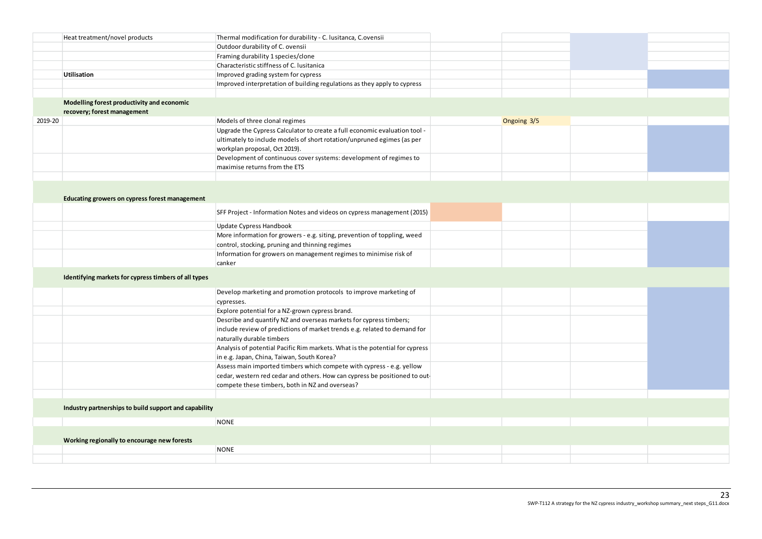|         | Heat treatment/novel products                         | Thermal modification for durability - C. lusitanca, C.ovensii                |             |  |
|---------|-------------------------------------------------------|------------------------------------------------------------------------------|-------------|--|
|         |                                                       | Outdoor durability of C. ovensii                                             |             |  |
|         |                                                       | Framing durability 1 species/clone                                           |             |  |
|         |                                                       | Characteristic stiffness of C. Iusitanica                                    |             |  |
|         | <b>Utilisation</b>                                    | Improved grading system for cypress                                          |             |  |
|         |                                                       | Improved interpretation of building regulations as they apply to cypress     |             |  |
|         |                                                       |                                                                              |             |  |
|         | Modelling forest productivity and economic            |                                                                              |             |  |
|         | recovery; forest management                           |                                                                              |             |  |
| 2019-20 |                                                       | Models of three clonal regimes                                               | Ongoing 3/5 |  |
|         |                                                       | Upgrade the Cypress Calculator to create a full economic evaluation tool -   |             |  |
|         |                                                       | ultimately to include models of short rotation/unpruned egimes (as per       |             |  |
|         |                                                       | workplan proposal, Oct 2019).                                                |             |  |
|         |                                                       | Development of continuous cover systems: development of regimes to           |             |  |
|         |                                                       | maximise returns from the ETS                                                |             |  |
|         |                                                       |                                                                              |             |  |
|         |                                                       |                                                                              |             |  |
|         | Educating growers on cypress forest management        |                                                                              |             |  |
|         |                                                       |                                                                              |             |  |
|         |                                                       | SFF Project - Information Notes and videos on cypress management (2015)      |             |  |
|         |                                                       | Update Cypress Handbook                                                      |             |  |
|         |                                                       | More information for growers - e.g. siting, prevention of toppling, weed     |             |  |
|         |                                                       | control, stocking, pruning and thinning regimes                              |             |  |
|         |                                                       | Information for growers on management regimes to minimise risk of            |             |  |
|         |                                                       | canker                                                                       |             |  |
|         |                                                       |                                                                              |             |  |
|         | Identifying markets for cypress timbers of all types  |                                                                              |             |  |
|         |                                                       | Develop marketing and promotion protocols to improve marketing of            |             |  |
|         |                                                       | cypresses.                                                                   |             |  |
|         |                                                       | Explore potential for a NZ-grown cypress brand.                              |             |  |
|         |                                                       | Describe and quantify NZ and overseas markets for cypress timbers;           |             |  |
|         |                                                       | include review of predictions of market trends e.g. related to demand for    |             |  |
|         |                                                       | naturally durable timbers                                                    |             |  |
|         |                                                       | Analysis of potential Pacific Rim markets. What is the potential for cypress |             |  |
|         |                                                       | in e.g. Japan, China, Taiwan, South Korea?                                   |             |  |
|         |                                                       | Assess main imported timbers which compete with cypress - e.g. yellow        |             |  |
|         |                                                       | cedar, western red cedar and others. How can cypress be positioned to out-   |             |  |
|         |                                                       | compete these timbers, both in NZ and overseas?                              |             |  |
|         |                                                       |                                                                              |             |  |
|         |                                                       |                                                                              |             |  |
|         | Industry partnerships to build support and capability |                                                                              |             |  |
|         |                                                       | <b>NONE</b>                                                                  |             |  |
|         |                                                       |                                                                              |             |  |
|         | Working regionally to encourage new forests           |                                                                              |             |  |
|         |                                                       | <b>NONE</b>                                                                  |             |  |
|         |                                                       |                                                                              |             |  |
|         |                                                       |                                                                              |             |  |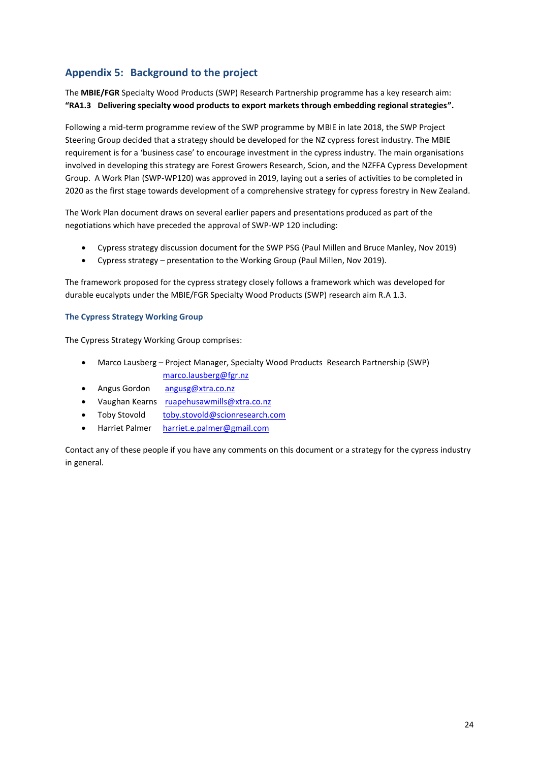# <span id="page-23-0"></span>**Appendix 5: Background to the project**

The **MBIE/FGR** Specialty Wood Products (SWP) Research Partnership programme has a key research aim: **"RA1.3 Delivering specialty wood products to export markets through embedding regional strategies".**

Following a mid-term programme review of the SWP programme by MBIE in late 2018, the SWP Project Steering Group decided that a strategy should be developed for the NZ cypress forest industry. The MBIE requirement is for a 'business case' to encourage investment in the cypress industry. The main organisations involved in developing this strategy are Forest Growers Research, Scion, and the NZFFA Cypress Development Group. A Work Plan (SWP-WP120) was approved in 2019, laying out a series of activities to be completed in 2020 as the first stage towards development of a comprehensive strategy for cypress forestry in New Zealand.

The Work Plan document draws on several earlier papers and presentations produced as part of the negotiations which have preceded the approval of SWP-WP 120 including:

- Cypress strategy discussion document for the SWP PSG (Paul Millen and Bruce Manley, Nov 2019)
- Cypress strategy presentation to the Working Group (Paul Millen, Nov 2019).

The framework proposed for the cypress strategy closely follows a framework which was developed for durable eucalypts under the MBIE/FGR Specialty Wood Products (SWP) research aim R.A 1.3.

# <span id="page-23-1"></span>**The Cypress Strategy Working Group**

The Cypress Strategy Working Group comprises:

- Marco Lausberg Project Manager, Specialty Wood Products Research Partnership (SWP) [marco.lausberg@fgr.nz](mailto:marco.lausberg@fgr.nz)
- Angus Gordon [angusg@xtra.co.nz](mailto:angusg@xtra.co.nz)
- Vaughan Kearns [ruapehusawmills@xtra.co.nz](mailto:ruapehusawmills@xtra.co.nz)
- Toby Stovold [toby.stovold@scionresearch.com](mailto:toby.stovold@scionresearch.com)
- Harriet Palmer [harriet.e.palmer@gmail.com](mailto:harriet.e.palmer@gmail.com)

Contact any of these people if you have any comments on this document or a strategy for the cypress industry in general.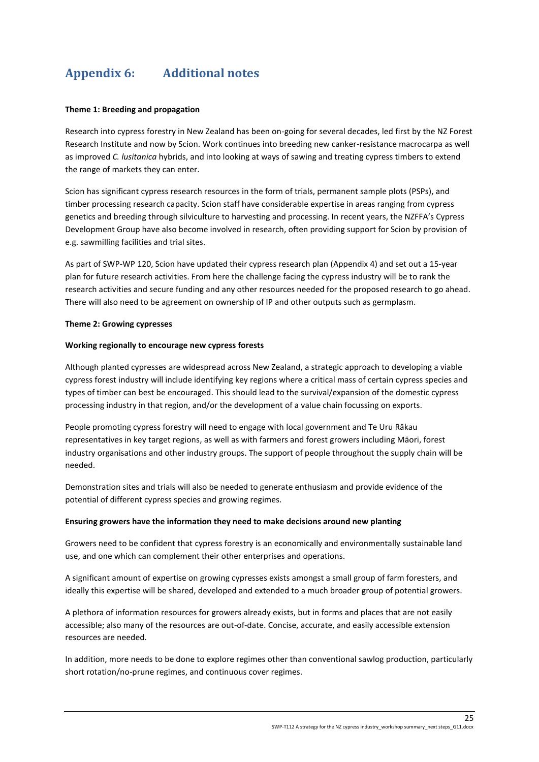# <span id="page-24-0"></span>**Appendix 6: Additional notes**

# **Theme 1: Breeding and propagation**

Research into cypress forestry in New Zealand has been on-going for several decades, led first by the NZ Forest Research Institute and now by Scion. Work continues into breeding new canker-resistance macrocarpa as well as improved *C. lusitanica* hybrids, and into looking at ways of sawing and treating cypress timbers to extend the range of markets they can enter.

Scion has significant cypress research resources in the form of trials, permanent sample plots (PSPs), and timber processing research capacity. Scion staff have considerable expertise in areas ranging from cypress genetics and breeding through silviculture to harvesting and processing. In recent years, the NZFFA's Cypress Development Group have also become involved in research, often providing support for Scion by provision of e.g. sawmilling facilities and trial sites.

As part of SWP-WP 120, Scion have updated their cypress research plan (Appendix 4) and set out a 15-year plan for future research activities. From here the challenge facing the cypress industry will be to rank the research activities and secure funding and any other resources needed for the proposed research to go ahead. There will also need to be agreement on ownership of IP and other outputs such as germplasm.

# **Theme 2: Growing cypresses**

# **Working regionally to encourage new cypress forests**

Although planted cypresses are widespread across New Zealand, a strategic approach to developing a viable cypress forest industry will include identifying key regions where a critical mass of certain cypress species and types of timber can best be encouraged. This should lead to the survival/expansion of the domestic cypress processing industry in that region, and/or the development of a value chain focussing on exports.

People promoting cypress forestry will need to engage with local government and Te Uru Rākau representatives in key target regions, as well as with farmers and forest growers including Māori, forest industry organisations and other industry groups. The support of people throughout the supply chain will be needed.

Demonstration sites and trials will also be needed to generate enthusiasm and provide evidence of the potential of different cypress species and growing regimes.

# **Ensuring growers have the information they need to make decisions around new planting**

Growers need to be confident that cypress forestry is an economically and environmentally sustainable land use, and one which can complement their other enterprises and operations.

A significant amount of expertise on growing cypresses exists amongst a small group of farm foresters, and ideally this expertise will be shared, developed and extended to a much broader group of potential growers.

A plethora of information resources for growers already exists, but in forms and places that are not easily accessible; also many of the resources are out-of-date. Concise, accurate, and easily accessible extension resources are needed.

In addition, more needs to be done to explore regimes other than conventional sawlog production, particularly short rotation/no-prune regimes, and continuous cover regimes.